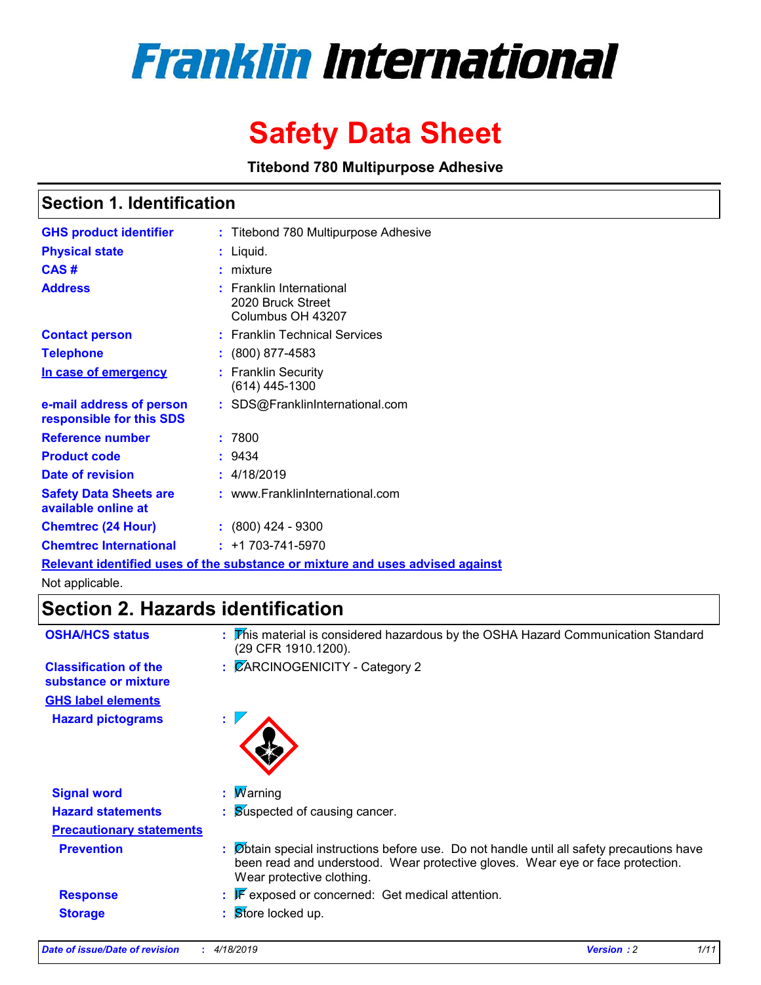# **Franklin International**

## **Safety Data Sheet**

**Titebond 780 Multipurpose Adhesive**

### **Section 1. Identification**

| <b>GHS product identifier</b>                        | : Titebond 780 Multipurpose Adhesive                                          |
|------------------------------------------------------|-------------------------------------------------------------------------------|
| <b>Physical state</b>                                | : Liquid.                                                                     |
| CAS#                                                 | $:$ mixture                                                                   |
| <b>Address</b>                                       | $:$ Franklin International<br>2020 Bruck Street<br>Columbus OH 43207          |
| <b>Contact person</b>                                | : Franklin Technical Services                                                 |
| <b>Telephone</b>                                     | $: (800) 877 - 4583$                                                          |
| In case of emergency                                 | : Franklin Security<br>$(614)$ 445-1300                                       |
| e-mail address of person<br>responsible for this SDS | : SDS@FranklinInternational.com                                               |
| <b>Reference number</b>                              | :7800                                                                         |
| <b>Product code</b>                                  | : 9434                                                                        |
| Date of revision                                     | : 4/18/2019                                                                   |
| <b>Safety Data Sheets are</b><br>available online at | : www.FranklinInternational.com                                               |
| <b>Chemtrec (24 Hour)</b>                            | $: (800)$ 424 - 9300                                                          |
| <b>Chemtrec International</b>                        | $: +1703 - 741 - 5970$                                                        |
|                                                      | Relevant identified uses of the substance or mixture and uses advised against |

Not applicable.

### **Section 2. Hazards identification**

| <b>OSHA/HCS status</b>                               | : This material is considered hazardous by the OSHA Hazard Communication Standard<br>(29 CFR 1910.1200).                                                                                               |  |
|------------------------------------------------------|--------------------------------------------------------------------------------------------------------------------------------------------------------------------------------------------------------|--|
| <b>Classification of the</b><br>substance or mixture | : CARCINOGENICITY - Category 2                                                                                                                                                                         |  |
| <b>GHS label elements</b>                            |                                                                                                                                                                                                        |  |
| <b>Hazard pictograms</b>                             | ÷.                                                                                                                                                                                                     |  |
| <b>Signal word</b>                                   | <b>Marning</b>                                                                                                                                                                                         |  |
| <b>Hazard statements</b>                             | : Suspected of causing cancer.                                                                                                                                                                         |  |
| <b>Precautionary statements</b>                      |                                                                                                                                                                                                        |  |
| <b>Prevention</b>                                    | Obtain special instructions before use. Do not handle until all safety precautions have<br>been read and understood. Wear protective gloves. Wear eye or face protection.<br>Wear protective clothing. |  |
| <b>Response</b>                                      | $\mathbb{F}$ exposed or concerned: Get medical attention.                                                                                                                                              |  |
| <b>Storage</b>                                       | Store locked up.                                                                                                                                                                                       |  |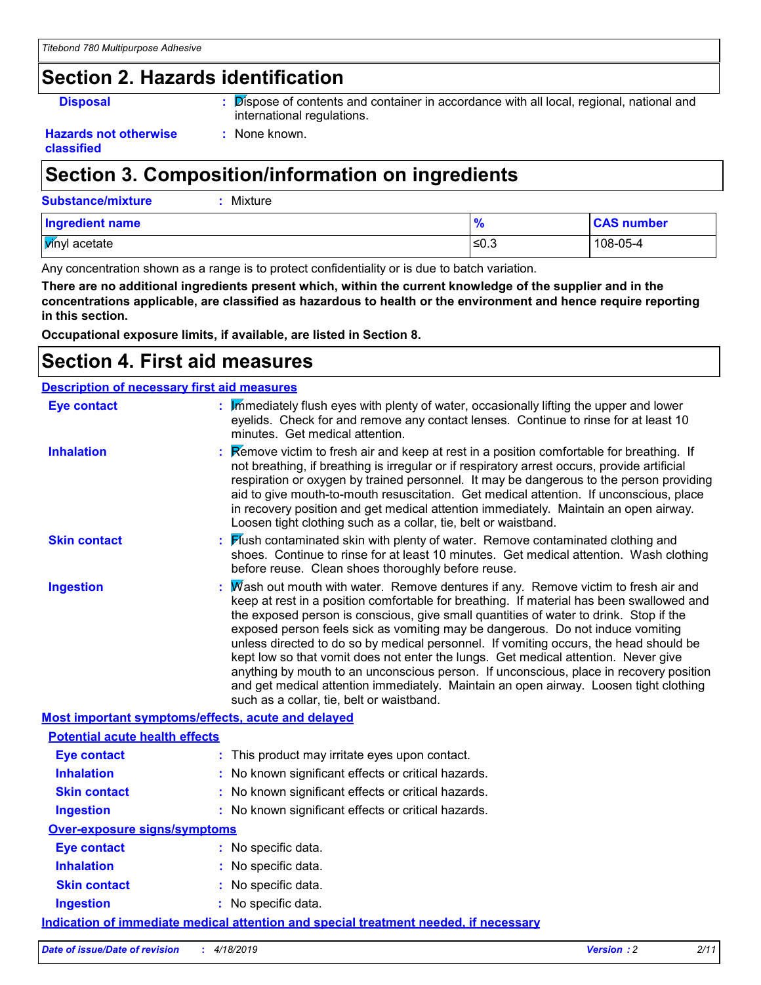### **Section 2. Hazards identification**

**Disposal :** Dispose of contents and container in accordance with all local, regional, national and international regulations.

#### **Hazards not otherwise classified**

### **Section 3. Composition/information on ingredients**

**:** None known.

| <b>Substance/mixture</b> | Mixture |      |                   |
|--------------------------|---------|------|-------------------|
| Ingredient name          |         | 70   | <b>CAS number</b> |
| <i>Vinyl</i> acetate     |         | ≤0.3 | 108-05-4          |

Any concentration shown as a range is to protect confidentiality or is due to batch variation.

**There are no additional ingredients present which, within the current knowledge of the supplier and in the concentrations applicable, are classified as hazardous to health or the environment and hence require reporting in this section.**

**Occupational exposure limits, if available, are listed in Section 8.**

### **Section 4. First aid measures**

| <b>Description of necessary first aid measures</b> |                                                                                                                                                                                                                                                                                                                                                                                                                                                                                                                                                                                                                                                                                                                                                                         |
|----------------------------------------------------|-------------------------------------------------------------------------------------------------------------------------------------------------------------------------------------------------------------------------------------------------------------------------------------------------------------------------------------------------------------------------------------------------------------------------------------------------------------------------------------------------------------------------------------------------------------------------------------------------------------------------------------------------------------------------------------------------------------------------------------------------------------------------|
| <b>Eye contact</b>                                 | : Immediately flush eyes with plenty of water, occasionally lifting the upper and lower<br>eyelids. Check for and remove any contact lenses. Continue to rinse for at least 10<br>minutes. Get medical attention.                                                                                                                                                                                                                                                                                                                                                                                                                                                                                                                                                       |
| <b>Inhalation</b>                                  | Remove victim to fresh air and keep at rest in a position comfortable for breathing. If<br>not breathing, if breathing is irregular or if respiratory arrest occurs, provide artificial<br>respiration or oxygen by trained personnel. It may be dangerous to the person providing<br>aid to give mouth-to-mouth resuscitation. Get medical attention. If unconscious, place<br>in recovery position and get medical attention immediately. Maintain an open airway.<br>Loosen tight clothing such as a collar, tie, belt or waistband.                                                                                                                                                                                                                                 |
| <b>Skin contact</b>                                | Mush contaminated skin with plenty of water. Remove contaminated clothing and<br>shoes. Continue to rinse for at least 10 minutes. Get medical attention. Wash clothing<br>before reuse. Clean shoes thoroughly before reuse.                                                                                                                                                                                                                                                                                                                                                                                                                                                                                                                                           |
| <b>Ingestion</b>                                   | Wash out mouth with water. Remove dentures if any. Remove victim to fresh air and<br>keep at rest in a position comfortable for breathing. If material has been swallowed and<br>the exposed person is conscious, give small quantities of water to drink. Stop if the<br>exposed person feels sick as vomiting may be dangerous. Do not induce vomiting<br>unless directed to do so by medical personnel. If vomiting occurs, the head should be<br>kept low so that vomit does not enter the lungs. Get medical attention. Never give<br>anything by mouth to an unconscious person. If unconscious, place in recovery position<br>and get medical attention immediately. Maintain an open airway. Loosen tight clothing<br>such as a collar, tie, belt or waistband. |
|                                                    | Most important symptoms/effects, acute and delayed                                                                                                                                                                                                                                                                                                                                                                                                                                                                                                                                                                                                                                                                                                                      |
| <b>Potential acute health effects</b>              |                                                                                                                                                                                                                                                                                                                                                                                                                                                                                                                                                                                                                                                                                                                                                                         |
| <b>Eye contact</b>                                 | : This product may irritate eyes upon contact.                                                                                                                                                                                                                                                                                                                                                                                                                                                                                                                                                                                                                                                                                                                          |
| <b>Inhalation</b>                                  | : No known significant effects or critical hazards.                                                                                                                                                                                                                                                                                                                                                                                                                                                                                                                                                                                                                                                                                                                     |
| <b>Skin contact</b>                                | : No known significant effects or critical hazards.                                                                                                                                                                                                                                                                                                                                                                                                                                                                                                                                                                                                                                                                                                                     |
| <b>Ingestion</b>                                   | : No known significant effects or critical hazards.                                                                                                                                                                                                                                                                                                                                                                                                                                                                                                                                                                                                                                                                                                                     |
| <b>Over-exposure signs/symptoms</b>                |                                                                                                                                                                                                                                                                                                                                                                                                                                                                                                                                                                                                                                                                                                                                                                         |
| <b>Eye contact</b>                                 | : No specific data.                                                                                                                                                                                                                                                                                                                                                                                                                                                                                                                                                                                                                                                                                                                                                     |
| <b>Inhalation</b>                                  | : No specific data.                                                                                                                                                                                                                                                                                                                                                                                                                                                                                                                                                                                                                                                                                                                                                     |
| <b>Skin contact</b>                                | : No specific data.                                                                                                                                                                                                                                                                                                                                                                                                                                                                                                                                                                                                                                                                                                                                                     |
| <b>Ingestion</b>                                   | : No specific data.                                                                                                                                                                                                                                                                                                                                                                                                                                                                                                                                                                                                                                                                                                                                                     |
|                                                    | <u>Indication of immediate medical attention and special treatment needed, if necessary</u>                                                                                                                                                                                                                                                                                                                                                                                                                                                                                                                                                                                                                                                                             |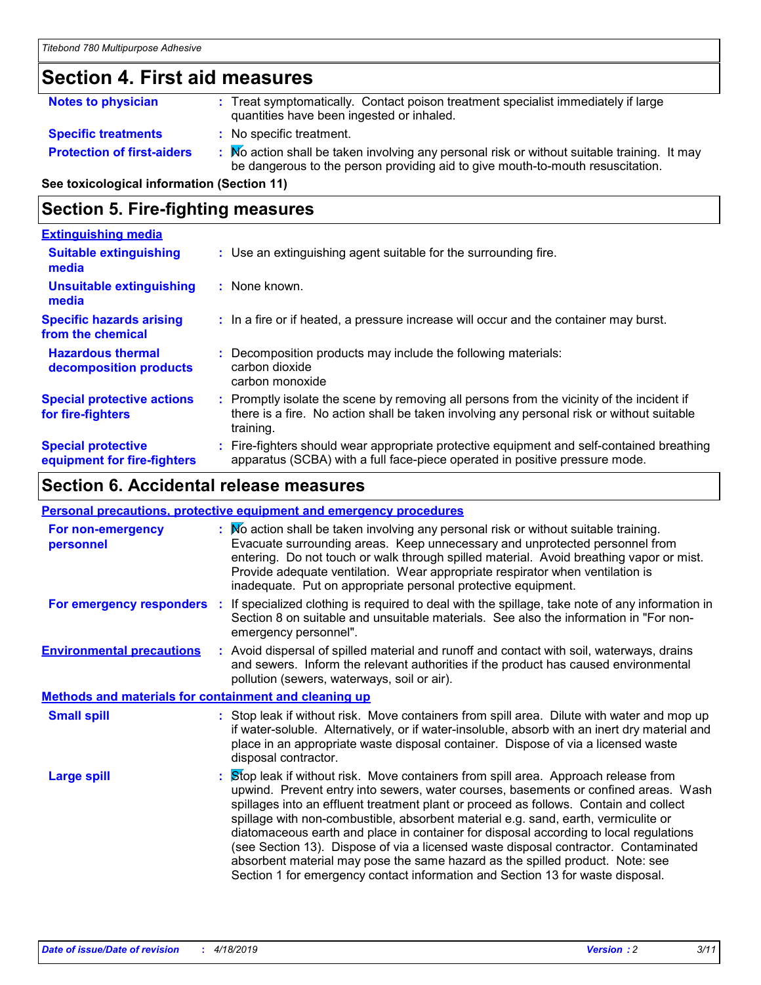### **Section 4. First aid measures**

| <b>Notes to physician</b>         | : Treat symptomatically. Contact poison treatment specialist immediately if large<br>quantities have been ingested or inhaled.                                              |
|-----------------------------------|-----------------------------------------------------------------------------------------------------------------------------------------------------------------------------|
| <b>Specific treatments</b>        | : No specific treatment.                                                                                                                                                    |
| <b>Protection of first-aiders</b> | Mo action shall be taken involving any personal risk or without suitable training. It may<br>be dangerous to the person providing aid to give mouth-to-mouth resuscitation. |

**See toxicological information (Section 11)**

### **Section 5. Fire-fighting measures**

| <b>Extinguishing media</b>                               |                                                                                                                                                                                                   |
|----------------------------------------------------------|---------------------------------------------------------------------------------------------------------------------------------------------------------------------------------------------------|
| <b>Suitable extinguishing</b><br>media                   | : Use an extinguishing agent suitable for the surrounding fire.                                                                                                                                   |
| <b>Unsuitable extinguishing</b><br>media                 | : None known.                                                                                                                                                                                     |
| <b>Specific hazards arising</b><br>from the chemical     | : In a fire or if heated, a pressure increase will occur and the container may burst.                                                                                                             |
| <b>Hazardous thermal</b><br>decomposition products       | Decomposition products may include the following materials:<br>carbon dioxide<br>carbon monoxide                                                                                                  |
| <b>Special protective actions</b><br>for fire-fighters   | Promptly isolate the scene by removing all persons from the vicinity of the incident if<br>there is a fire. No action shall be taken involving any personal risk or without suitable<br>training. |
| <b>Special protective</b><br>equipment for fire-fighters | Fire-fighters should wear appropriate protective equipment and self-contained breathing<br>apparatus (SCBA) with a full face-piece operated in positive pressure mode.                            |

### **Section 6. Accidental release measures**

| <b>Personal precautions, protective equipment and emergency procedures</b> |  |                                                                                                                                                                                                                                                                                                                                                                                                                                                                                                                                                                                                                                                                                                            |
|----------------------------------------------------------------------------|--|------------------------------------------------------------------------------------------------------------------------------------------------------------------------------------------------------------------------------------------------------------------------------------------------------------------------------------------------------------------------------------------------------------------------------------------------------------------------------------------------------------------------------------------------------------------------------------------------------------------------------------------------------------------------------------------------------------|
| For non-emergency<br>personnel                                             |  | : No action shall be taken involving any personal risk or without suitable training.<br>Evacuate surrounding areas. Keep unnecessary and unprotected personnel from<br>entering. Do not touch or walk through spilled material. Avoid breathing vapor or mist.<br>Provide adequate ventilation. Wear appropriate respirator when ventilation is<br>inadequate. Put on appropriate personal protective equipment.                                                                                                                                                                                                                                                                                           |
| For emergency responders                                                   |  | : If specialized clothing is required to deal with the spillage, take note of any information in<br>Section 8 on suitable and unsuitable materials. See also the information in "For non-<br>emergency personnel".                                                                                                                                                                                                                                                                                                                                                                                                                                                                                         |
| <b>Environmental precautions</b>                                           |  | : Avoid dispersal of spilled material and runoff and contact with soil, waterways, drains<br>and sewers. Inform the relevant authorities if the product has caused environmental<br>pollution (sewers, waterways, soil or air).                                                                                                                                                                                                                                                                                                                                                                                                                                                                            |
| <b>Methods and materials for containment and cleaning up</b>               |  |                                                                                                                                                                                                                                                                                                                                                                                                                                                                                                                                                                                                                                                                                                            |
| <b>Small spill</b>                                                         |  | : Stop leak if without risk. Move containers from spill area. Dilute with water and mop up<br>if water-soluble. Alternatively, or if water-insoluble, absorb with an inert dry material and<br>place in an appropriate waste disposal container. Dispose of via a licensed waste<br>disposal contractor.                                                                                                                                                                                                                                                                                                                                                                                                   |
| <b>Large spill</b>                                                         |  | Stop leak if without risk. Move containers from spill area. Approach release from<br>upwind. Prevent entry into sewers, water courses, basements or confined areas. Wash<br>spillages into an effluent treatment plant or proceed as follows. Contain and collect<br>spillage with non-combustible, absorbent material e.g. sand, earth, vermiculite or<br>diatomaceous earth and place in container for disposal according to local regulations<br>(see Section 13). Dispose of via a licensed waste disposal contractor. Contaminated<br>absorbent material may pose the same hazard as the spilled product. Note: see<br>Section 1 for emergency contact information and Section 13 for waste disposal. |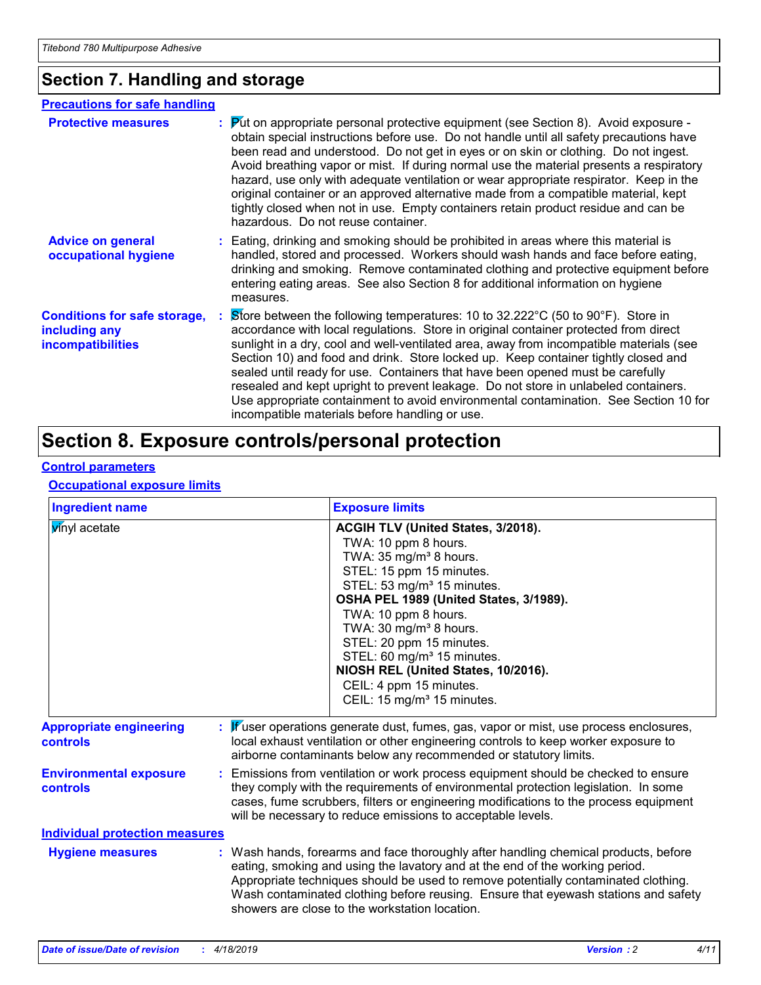### **Section 7. Handling and storage**

| <b>Precautions for safe handling</b>                                             |                                                                                                                                                                                                                                                                                                                                                                                                                                                                                                                                                                                                                                                                                          |
|----------------------------------------------------------------------------------|------------------------------------------------------------------------------------------------------------------------------------------------------------------------------------------------------------------------------------------------------------------------------------------------------------------------------------------------------------------------------------------------------------------------------------------------------------------------------------------------------------------------------------------------------------------------------------------------------------------------------------------------------------------------------------------|
| <b>Protective measures</b>                                                       | $\mathbf{P}$ ut on appropriate personal protective equipment (see Section 8). Avoid exposure -<br>obtain special instructions before use. Do not handle until all safety precautions have<br>been read and understood. Do not get in eyes or on skin or clothing. Do not ingest.<br>Avoid breathing vapor or mist. If during normal use the material presents a respiratory<br>hazard, use only with adequate ventilation or wear appropriate respirator. Keep in the<br>original container or an approved alternative made from a compatible material, kept<br>tightly closed when not in use. Empty containers retain product residue and can be<br>hazardous. Do not reuse container. |
| <b>Advice on general</b><br>occupational hygiene                                 | : Eating, drinking and smoking should be prohibited in areas where this material is<br>handled, stored and processed. Workers should wash hands and face before eating,<br>drinking and smoking. Remove contaminated clothing and protective equipment before<br>entering eating areas. See also Section 8 for additional information on hygiene<br>measures.                                                                                                                                                                                                                                                                                                                            |
| <b>Conditions for safe storage,</b><br>including any<br><b>incompatibilities</b> | Store between the following temperatures: 10 to 32.222°C (50 to 90°F). Store in<br>accordance with local regulations. Store in original container protected from direct<br>sunlight in a dry, cool and well-ventilated area, away from incompatible materials (see<br>Section 10) and food and drink. Store locked up. Keep container tightly closed and<br>sealed until ready for use. Containers that have been opened must be carefully<br>resealed and kept upright to prevent leakage. Do not store in unlabeled containers.<br>Use appropriate containment to avoid environmental contamination. See Section 10 for<br>incompatible materials before handling or use.              |

### **Section 8. Exposure controls/personal protection**

### **Control parameters**

#### **Occupational exposure limits**

| <b>Ingredient name</b>                            | <b>Exposure limits</b>                                                                                                                                                                                                                                                                                                                                                                                                                                           |
|---------------------------------------------------|------------------------------------------------------------------------------------------------------------------------------------------------------------------------------------------------------------------------------------------------------------------------------------------------------------------------------------------------------------------------------------------------------------------------------------------------------------------|
| winyl acetate                                     | ACGIH TLV (United States, 3/2018).<br>TWA: 10 ppm 8 hours.<br>TWA: 35 mg/m <sup>3</sup> 8 hours.<br>STEL: 15 ppm 15 minutes.<br>STEL: 53 mg/m <sup>3</sup> 15 minutes.<br>OSHA PEL 1989 (United States, 3/1989).<br>TWA: 10 ppm 8 hours.<br>TWA: 30 mg/m <sup>3</sup> 8 hours.<br>STEL: 20 ppm 15 minutes.<br>STEL: 60 mg/m <sup>3</sup> 15 minutes.<br>NIOSH REL (United States, 10/2016).<br>CEIL: 4 ppm 15 minutes.<br>CEIL: 15 mg/m <sup>3</sup> 15 minutes. |
| <b>Appropriate engineering</b><br><b>controls</b> | : Wuser operations generate dust, fumes, gas, vapor or mist, use process enclosures,<br>local exhaust ventilation or other engineering controls to keep worker exposure to<br>airborne contaminants below any recommended or statutory limits.                                                                                                                                                                                                                   |
| <b>Environmental exposure</b><br><b>controls</b>  | : Emissions from ventilation or work process equipment should be checked to ensure<br>they comply with the requirements of environmental protection legislation. In some<br>cases, fume scrubbers, filters or engineering modifications to the process equipment<br>will be necessary to reduce emissions to acceptable levels.                                                                                                                                  |
| <b>Individual protection measures</b>             |                                                                                                                                                                                                                                                                                                                                                                                                                                                                  |
| <b>Hygiene measures</b>                           | : Wash hands, forearms and face thoroughly after handling chemical products, before<br>eating, smoking and using the lavatory and at the end of the working period.<br>Appropriate techniques should be used to remove potentially contaminated clothing.<br>Wash contaminated clothing before reusing. Ensure that eyewash stations and safety<br>showers are close to the workstation location.                                                                |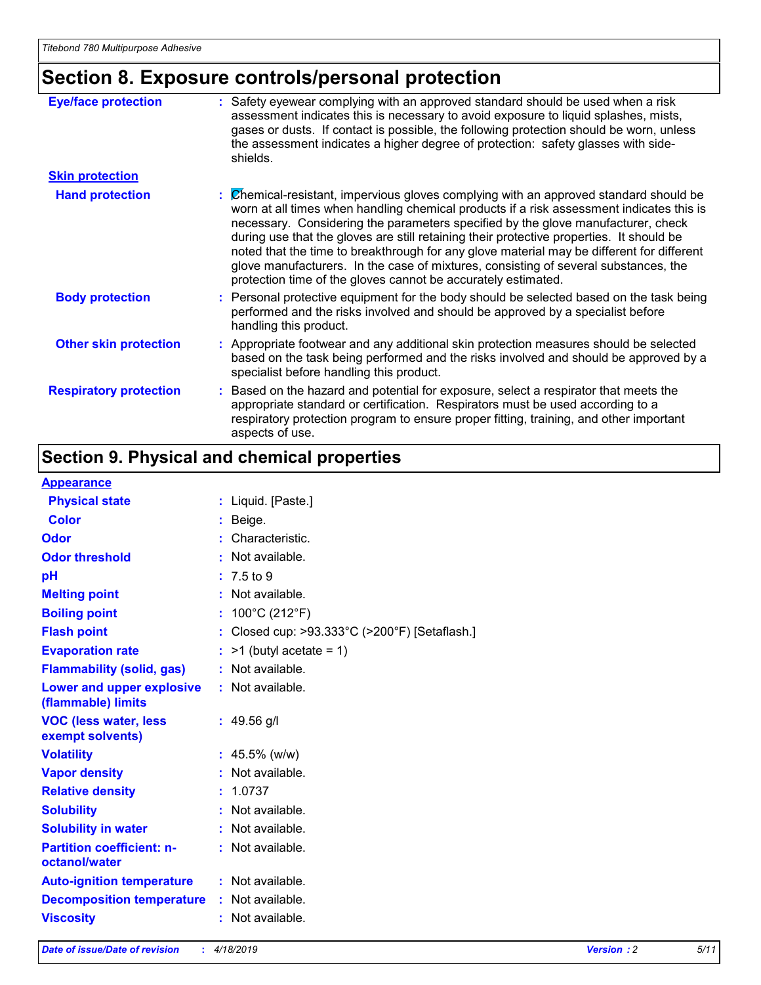### **Section 8. Exposure controls/personal protection**

| <b>Eye/face protection</b>    | : Safety eyewear complying with an approved standard should be used when a risk<br>assessment indicates this is necessary to avoid exposure to liquid splashes, mists,<br>gases or dusts. If contact is possible, the following protection should be worn, unless<br>the assessment indicates a higher degree of protection: safety glasses with side-<br>shields.                                                                                                                                                                                                                                                     |
|-------------------------------|------------------------------------------------------------------------------------------------------------------------------------------------------------------------------------------------------------------------------------------------------------------------------------------------------------------------------------------------------------------------------------------------------------------------------------------------------------------------------------------------------------------------------------------------------------------------------------------------------------------------|
| <b>Skin protection</b>        |                                                                                                                                                                                                                                                                                                                                                                                                                                                                                                                                                                                                                        |
| <b>Hand protection</b>        | : Chemical-resistant, impervious gloves complying with an approved standard should be<br>worn at all times when handling chemical products if a risk assessment indicates this is<br>necessary. Considering the parameters specified by the glove manufacturer, check<br>during use that the gloves are still retaining their protective properties. It should be<br>noted that the time to breakthrough for any glove material may be different for different<br>glove manufacturers. In the case of mixtures, consisting of several substances, the<br>protection time of the gloves cannot be accurately estimated. |
| <b>Body protection</b>        | : Personal protective equipment for the body should be selected based on the task being<br>performed and the risks involved and should be approved by a specialist before<br>handling this product.                                                                                                                                                                                                                                                                                                                                                                                                                    |
| <b>Other skin protection</b>  | : Appropriate footwear and any additional skin protection measures should be selected<br>based on the task being performed and the risks involved and should be approved by a<br>specialist before handling this product.                                                                                                                                                                                                                                                                                                                                                                                              |
| <b>Respiratory protection</b> | : Based on the hazard and potential for exposure, select a respirator that meets the<br>appropriate standard or certification. Respirators must be used according to a<br>respiratory protection program to ensure proper fitting, training, and other important<br>aspects of use.                                                                                                                                                                                                                                                                                                                                    |

### **Section 9. Physical and chemical properties**

#### **Appearance**

| <u>i iyyuu uhuu</u>                               |                                             |
|---------------------------------------------------|---------------------------------------------|
| <b>Physical state</b>                             | : Liquid. [Paste.]                          |
| <b>Color</b>                                      | $:$ Beige.                                  |
| Odor                                              | Characteristic.                             |
| <b>Odor threshold</b>                             | $\cdot$ Not available.                      |
| рH                                                | $: 7.5 \text{ to } 9$                       |
| <b>Melting point</b>                              | Not available.                              |
| <b>Boiling point</b>                              | : $100^{\circ}$ C (212 $^{\circ}$ F)        |
| <b>Flash point</b>                                | Closed cup: >93.333°C (>200°F) [Setaflash.] |
| <b>Evaporation rate</b>                           | $>1$ (butyl acetate = 1)                    |
| <b>Flammability (solid, gas)</b>                  | : Not available.                            |
| Lower and upper explosive<br>(flammable) limits   | : Not available.                            |
| <b>VOC (less water, less</b><br>exempt solvents)  | $: 49.56$ g/l                               |
| <b>Volatility</b>                                 | : $45.5\%$ (w/w)                            |
| <b>Vapor density</b>                              | Not available.                              |
| <b>Relative density</b>                           | : 1.0737                                    |
| <b>Solubility</b>                                 | : Not available.                            |
| <b>Solubility in water</b>                        | $:$ Not available.                          |
| <b>Partition coefficient: n-</b><br>octanol/water | : Not available.                            |
| <b>Auto-ignition temperature</b>                  | $:$ Not available.                          |
| <b>Decomposition temperature :</b> Not available. |                                             |
| <b>Viscosity</b>                                  | $:$ Not available.                          |
|                                                   |                                             |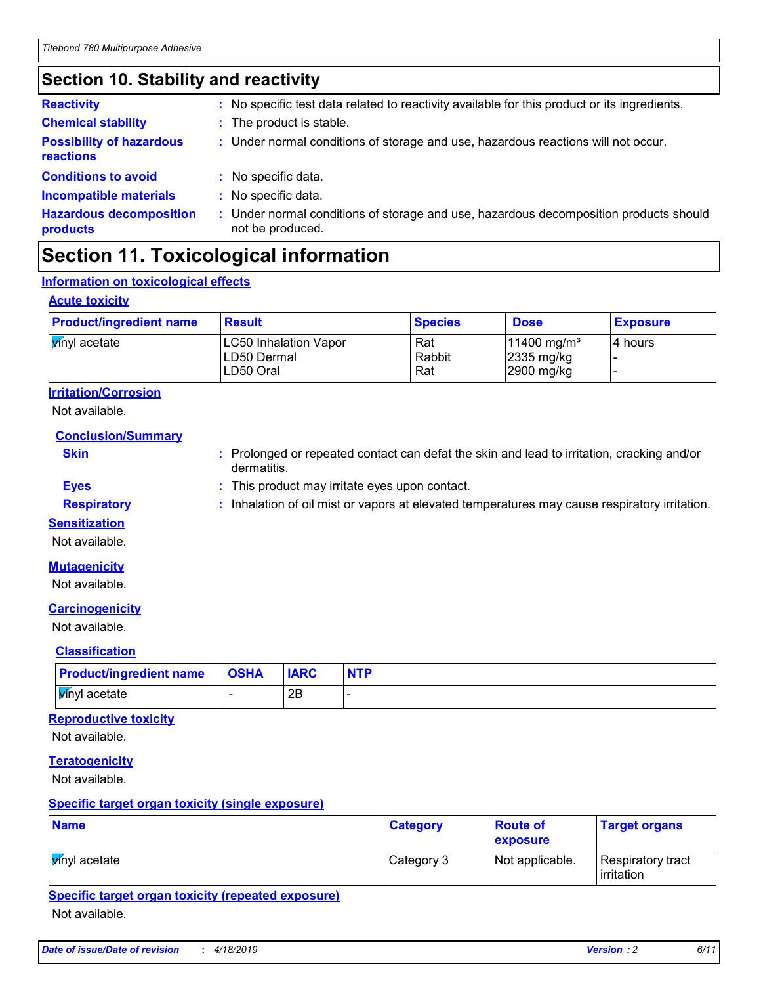### **Section 10. Stability and reactivity**

| <b>Reactivity</b>                            | : No specific test data related to reactivity available for this product or its ingredients.              |
|----------------------------------------------|-----------------------------------------------------------------------------------------------------------|
| <b>Chemical stability</b>                    | : The product is stable.                                                                                  |
| <b>Possibility of hazardous</b><br>reactions | : Under normal conditions of storage and use, hazardous reactions will not occur.                         |
| <b>Conditions to avoid</b>                   | : No specific data.                                                                                       |
| <b>Incompatible materials</b>                | : No specific data.                                                                                       |
| <b>Hazardous decomposition</b><br>products   | : Under normal conditions of storage and use, hazardous decomposition products should<br>not be produced. |

### **Section 11. Toxicological information**

### **Information on toxicological effects**

#### **Acute toxicity**

| <b>Product/ingredient name</b> | <b>Result</b>                                            | <b>Species</b>       | <b>Dose</b>                                                       | <b>Exposure</b> |
|--------------------------------|----------------------------------------------------------|----------------------|-------------------------------------------------------------------|-----------------|
| <b>V</b> inyl acetate          | <b>LC50 Inhalation Vapor</b><br>LD50 Dermal<br>LD50 Oral | Rat<br>Rabbit<br>Rat | $11400$ mg/m <sup>3</sup><br>$ 2335 \text{ mg/kg} $<br>2900 mg/kg | I4 hours        |

### **Irritation/Corrosion**

Not available.

**Conclusion/Summary**

- **Skin Example 20 :** Prolonged or repeated contact can defat the skin and lead to irritation, cracking and/or dermatitis.
- **Eyes :** This product may irritate eyes upon contact.
- **Respiratory :** Inhalation of oil mist or vapors at elevated temperatures may cause respiratory irritation.
- **Sensitization**
- Not available.

#### **Mutagenicity**

Not available.

#### **Carcinogenicity**

Not available.

#### **Classification**

| <b>Product/ingredient name</b> | <b>OSHA</b> | <b>IARC</b> | <b>NTP</b> |
|--------------------------------|-------------|-------------|------------|
| <b>V</b> inyl acetate          |             | 2Β          |            |

### **Reproductive toxicity**

Not available.

#### **Teratogenicity**

Not available.

#### **Specific target organ toxicity (single exposure)**

| <b>Name</b>           | <b>Category</b> | <b>Route of</b><br>exposure | <b>Target organs</b>                     |
|-----------------------|-----------------|-----------------------------|------------------------------------------|
| <b>V</b> inyl acetate | Category 3      | Not applicable.             | Respiratory tract<br><b>l</b> irritation |

### **Specific target organ toxicity (repeated exposure)**

Not available.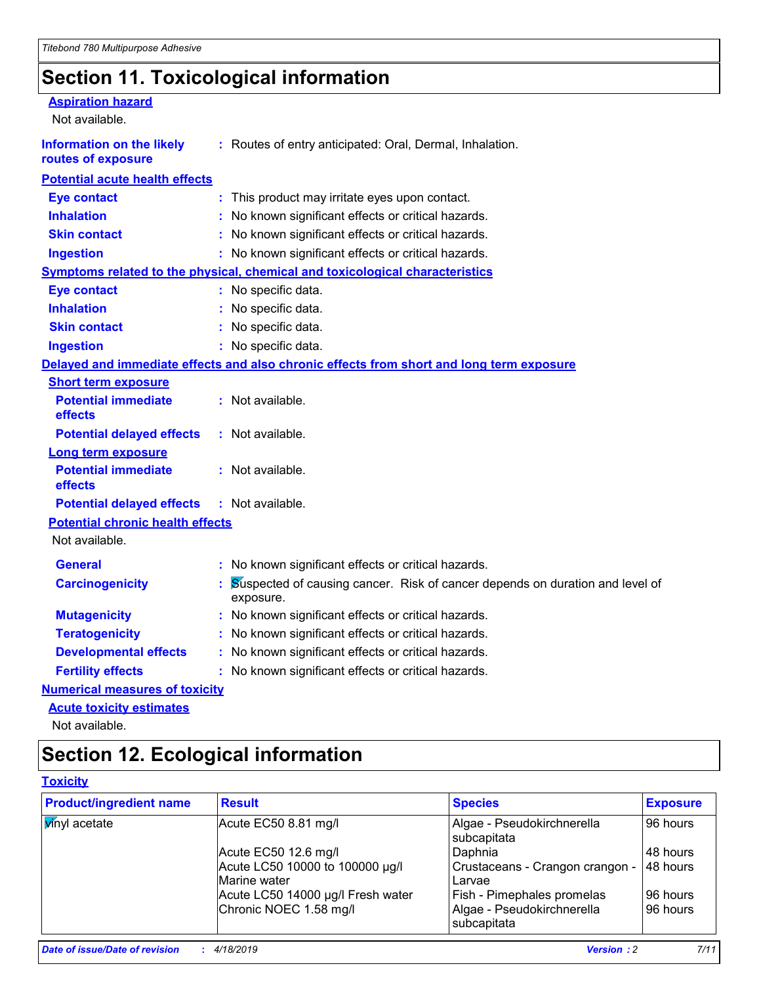### **Section 11. Toxicological information**

| <b>Aspiration hazard</b><br>Not available.             |                                                                                           |
|--------------------------------------------------------|-------------------------------------------------------------------------------------------|
| <b>Information on the likely</b><br>routes of exposure | : Routes of entry anticipated: Oral, Dermal, Inhalation.                                  |
| <b>Potential acute health effects</b>                  |                                                                                           |
| <b>Eye contact</b>                                     | This product may irritate eyes upon contact.                                              |
| <b>Inhalation</b>                                      | No known significant effects or critical hazards.                                         |
| <b>Skin contact</b>                                    | No known significant effects or critical hazards.                                         |
| <b>Ingestion</b>                                       | : No known significant effects or critical hazards.                                       |
|                                                        | <b>Symptoms related to the physical, chemical and toxicological characteristics</b>       |
| <b>Eye contact</b>                                     | : No specific data.                                                                       |
| <b>Inhalation</b>                                      | : No specific data.                                                                       |
| <b>Skin contact</b>                                    | : No specific data.                                                                       |
| <b>Ingestion</b>                                       | : No specific data.                                                                       |
|                                                        | Delayed and immediate effects and also chronic effects from short and long term exposure  |
| <b>Short term exposure</b>                             |                                                                                           |
| <b>Potential immediate</b><br>effects                  | : Not available.                                                                          |
| <b>Potential delayed effects</b>                       | : Not available.                                                                          |
| <b>Long term exposure</b>                              |                                                                                           |
| <b>Potential immediate</b><br>effects                  | : Not available.                                                                          |
| <b>Potential delayed effects</b>                       | : Not available.                                                                          |
| <b>Potential chronic health effects</b>                |                                                                                           |
| Not available.                                         |                                                                                           |
| <b>General</b>                                         | : No known significant effects or critical hazards.                                       |
| <b>Carcinogenicity</b>                                 | Suspected of causing cancer. Risk of cancer depends on duration and level of<br>exposure. |
| <b>Mutagenicity</b>                                    | : No known significant effects or critical hazards.                                       |
| <b>Teratogenicity</b>                                  | : No known significant effects or critical hazards.                                       |
| <b>Developmental effects</b>                           | No known significant effects or critical hazards.                                         |
| <b>Fertility effects</b>                               | : No known significant effects or critical hazards.                                       |
| <b>Numerical measures of toxicity</b>                  |                                                                                           |
| <b>Acute toxicity estimates</b>                        |                                                                                           |
|                                                        |                                                                                           |

Not available.

### **Section 12. Ecological information**

### **Toxicity**

| <b>Product/ingredient name</b> | <b>Result</b>                                   | <b>Species</b>                                   | <b>Exposure</b> |
|--------------------------------|-------------------------------------------------|--------------------------------------------------|-----------------|
| <b>V</b> inyl acetate          | Acute EC50 8.81 mg/l                            | Algae - Pseudokirchnerella<br>subcapitata        | 96 hours        |
|                                | Acute EC50 12.6 mg/l                            | Daphnia                                          | 48 hours        |
|                                | Acute LC50 10000 to 100000 µg/l<br>Marine water | Crustaceans - Crangon crangon -<br><b>Larvae</b> | 48 hours        |
|                                | Acute LC50 14000 µg/l Fresh water               | <b>Fish - Pimephales promelas</b>                | 96 hours        |
|                                | Chronic NOEC 1.58 mg/l                          | Algae - Pseudokirchnerella<br>subcapitata        | 96 hours        |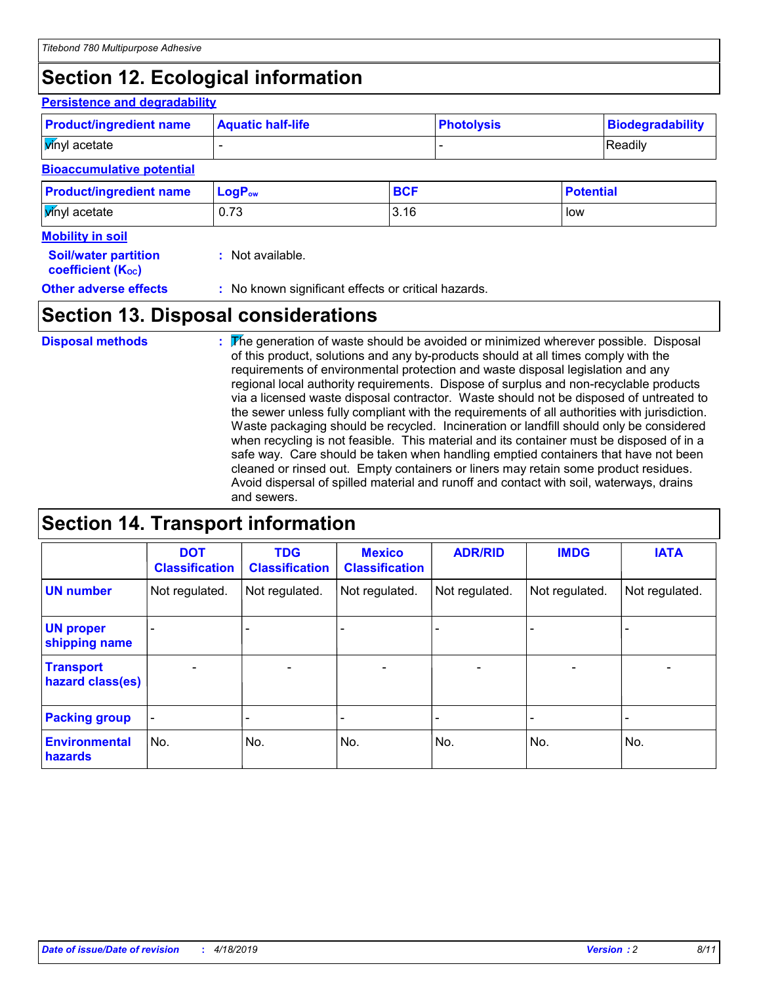### **Section 12. Ecological information**

#### **Persistence and degradability**

| <b>Product/ingredient name</b>   | <b>Aquatic half-life</b> | <b>Photolysis</b> |  |                  | <b>Biodegradability</b> |
|----------------------------------|--------------------------|-------------------|--|------------------|-------------------------|
| <b>V</b> inyl acetate            |                          |                   |  | Readily          |                         |
| <b>Bioaccumulative potential</b> |                          |                   |  |                  |                         |
| <b>Product/ingredient name</b>   | LogP <sub>ow</sub>       | <b>BCF</b>        |  | <b>Potential</b> |                         |
| <b>V</b> inyl acetate            | 0.73                     | 3.16              |  | low              |                         |
| <b>Mobility in soil</b>          |                          |                   |  |                  |                         |
| <b>Soil/water partition</b>      | : Not available.         |                   |  |                  |                         |

| <b>JUIL WALCH PALLILLUIT</b> |  |
|------------------------------|--|
| <b>coefficient (Koc)</b>     |  |

**Other adverse effects** : No known significant effects or critical hazards.

### **Section 13. Disposal considerations**

The generation of waste should be avoided or minimized wherever possible. Disposal of this product, solutions and any by-products should at all times comply with the requirements of environmental protection and waste disposal legislation and any regional local authority requirements. Dispose of surplus and non-recyclable products via a licensed waste disposal contractor. Waste should not be disposed of untreated to the sewer unless fully compliant with the requirements of all authorities with jurisdiction. Waste packaging should be recycled. Incineration or landfill should only be considered when recycling is not feasible. This material and its container must be disposed of in a safe way. Care should be taken when handling emptied containers that have not been cleaned or rinsed out. Empty containers or liners may retain some product residues. Avoid dispersal of spilled material and runoff and contact with soil, waterways, drains and sewers. **Disposal methods :**

### **Section 14. Transport information**

|                                      | <b>DOT</b><br><b>Classification</b> | <b>TDG</b><br><b>Classification</b> | <b>Mexico</b><br><b>Classification</b> | <b>ADR/RID</b>               | <b>IMDG</b>              | <b>IATA</b>    |
|--------------------------------------|-------------------------------------|-------------------------------------|----------------------------------------|------------------------------|--------------------------|----------------|
| <b>UN number</b>                     | Not regulated.                      | Not regulated.                      | Not regulated.                         | Not regulated.               | Not regulated.           | Not regulated. |
| <b>UN proper</b><br>shipping name    | $\blacksquare$                      |                                     |                                        |                              |                          |                |
| <b>Transport</b><br>hazard class(es) |                                     | $\blacksquare$                      | $\blacksquare$                         | $\qquad \qquad \blacksquare$ | $\blacksquare$           |                |
| <b>Packing group</b>                 | $\qquad \qquad \blacksquare$        | -                                   | -                                      | -                            | $\overline{\phantom{0}}$ | -              |
| <b>Environmental</b><br>hazards      | No.                                 | No.                                 | No.                                    | No.                          | No.                      | No.            |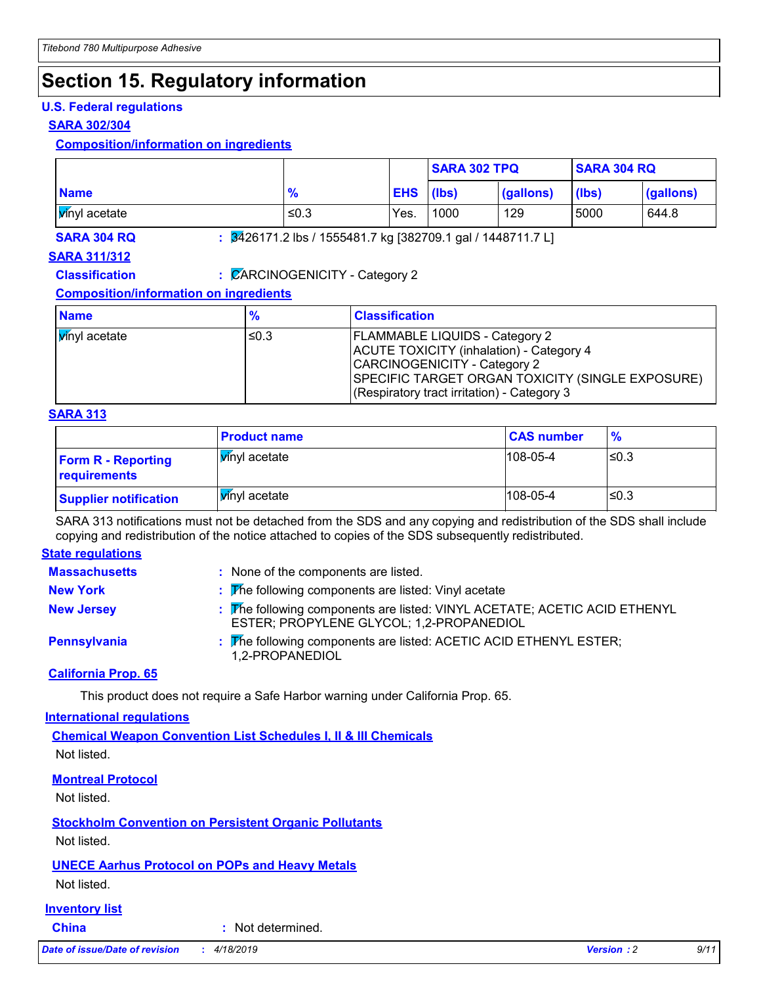### **Section 15. Regulatory information**

### **U.S. Federal regulations**

#### **SARA 302/304**

### **Composition/information on ingredients**

|              |                                                                         |                  | <b>SARA 302 TPQ</b> |           | <b>SARA 304 RQ</b> |           |
|--------------|-------------------------------------------------------------------------|------------------|---------------------|-----------|--------------------|-----------|
| <b>Name</b>  | $\frac{9}{6}$                                                           | <b>EHS</b> (lbs) |                     | (gallons) | (lbs)              | (gallons) |
| wnyl acetate | ≤0.3                                                                    | Yes.             | 1000                | 129       | 5000               | 644.8     |
| SARA 304 RQ  | $\frac{1}{2}$ 2426171.2 lbs / 1555481.7 kg [382709.1 gal / 1448711.7 L] |                  |                     |           |                    |           |

### **SARA 311/312**

**Classification :** CARCINOGENICITY - Category 2

### **Composition/information on ingredients**

| <b>Name</b>           | %    | <b>Classification</b>                                                                                                                                                                                                       |
|-----------------------|------|-----------------------------------------------------------------------------------------------------------------------------------------------------------------------------------------------------------------------------|
| <b>V</b> inyl acetate | ≤0.3 | <b>FLAMMABLE LIQUIDS - Category 2</b><br>ACUTE TOXICITY (inhalation) - Category 4<br>CARCINOGENICITY - Category 2<br><b>SPECIFIC TARGET ORGAN TOXICITY (SINGLE EXPOSURE)</b><br>(Respiratory tract irritation) - Category 3 |

#### **SARA 313**

|                                           | <b>Product name</b>   | <b>CAS number</b> | $\frac{9}{6}$ |
|-------------------------------------------|-----------------------|-------------------|---------------|
| <b>Form R - Reporting</b><br>requirements | <b>V</b> inyl acetate | $108 - 05 - 4$    | l≤0.3         |
| <b>Supplier notification</b>              | Winyl acetate         | $108 - 05 - 4$    | ≤0.3          |

SARA 313 notifications must not be detached from the SDS and any copying and redistribution of the SDS shall include copying and redistribution of the notice attached to copies of the SDS subsequently redistributed.

#### **State regulations**

| <b>Massachusetts</b> | : None of the components are listed.                                                                                  |
|----------------------|-----------------------------------------------------------------------------------------------------------------------|
| <b>New York</b>      | : The following components are listed: Vinyl acetate                                                                  |
| <b>New Jersey</b>    | : The following components are listed: VINYL ACETATE; ACETIC ACID ETHENYL<br>ESTER; PROPYLENE GLYCOL; 1,2-PROPANEDIOL |
| Pennsylvania         | : The following components are listed: ACETIC ACID ETHENYL ESTER;<br>1,2-PROPANEDIOL                                  |

#### **California Prop. 65**

This product does not require a Safe Harbor warning under California Prop. 65.

#### **International regulations**

**Chemical Weapon Convention List Schedules I, II & III Chemicals** Not listed.

### **Montreal Protocol**

Not listed.

**Stockholm Convention on Persistent Organic Pollutants**

Not listed.

### **UNECE Aarhus Protocol on POPs and Heavy Metals**

Not listed.

### **Inventory list**

**China :** Not determined.

*Date of issue/Date of revision* **:** *4/18/2019 Version : 2 9/11*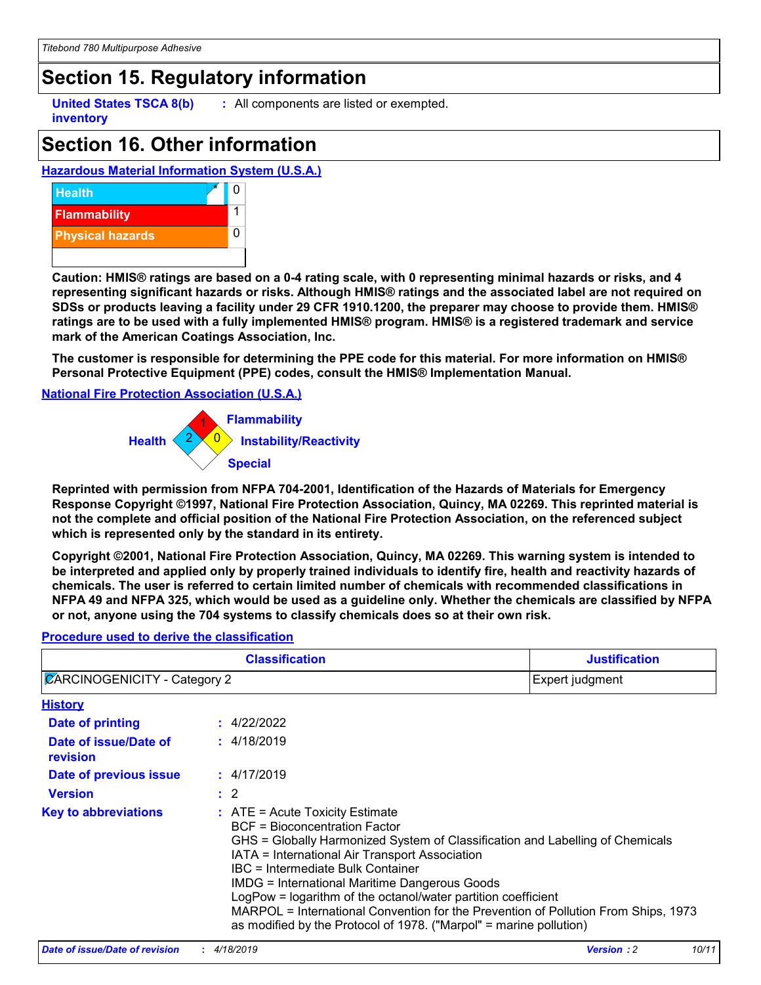### **Section 15. Regulatory information**

**inventory**

**United States TSCA 8(b) :** All components are listed or exempted.

### **Section 16. Other information**

### **Hazardous Material Information System (U.S.A.)**



**Caution: HMIS® ratings are based on a 0-4 rating scale, with 0 representing minimal hazards or risks, and 4 representing significant hazards or risks. Although HMIS® ratings and the associated label are not required on SDSs or products leaving a facility under 29 CFR 1910.1200, the preparer may choose to provide them. HMIS® ratings are to be used with a fully implemented HMIS® program. HMIS® is a registered trademark and service mark of the American Coatings Association, Inc.**

**The customer is responsible for determining the PPE code for this material. For more information on HMIS® Personal Protective Equipment (PPE) codes, consult the HMIS® Implementation Manual.**

#### **National Fire Protection Association (U.S.A.)**



**Reprinted with permission from NFPA 704-2001, Identification of the Hazards of Materials for Emergency Response Copyright ©1997, National Fire Protection Association, Quincy, MA 02269. This reprinted material is not the complete and official position of the National Fire Protection Association, on the referenced subject which is represented only by the standard in its entirety.**

**Copyright ©2001, National Fire Protection Association, Quincy, MA 02269. This warning system is intended to be interpreted and applied only by properly trained individuals to identify fire, health and reactivity hazards of chemicals. The user is referred to certain limited number of chemicals with recommended classifications in NFPA 49 and NFPA 325, which would be used as a guideline only. Whether the chemicals are classified by NFPA or not, anyone using the 704 systems to classify chemicals does so at their own risk.**

#### 4/22/2022 **: History Date of printing Date of issue/Date of revision Version Date of previous issue :** 2 **:** 4/18/2019 **:** 4/17/2019 **Key to abbreviations :** ATE = Acute Toxicity Estimate BCF = Bioconcentration Factor GHS = Globally Harmonized System of Classification and Labelling of Chemicals IATA = International Air Transport Association IBC = Intermediate Bulk Container IMDG = International Maritime Dangerous Goods LogPow = logarithm of the octanol/water partition coefficient MARPOL = International Convention for the Prevention of Pollution From Ships, 1973 as modified by the Protocol of 1978. ("Marpol" = marine pollution) **Classification Justification**  $\mathbb Z$ ARCINOGENICITY - Category 2 Expert judgment

#### **Procedure used to derive the classification**